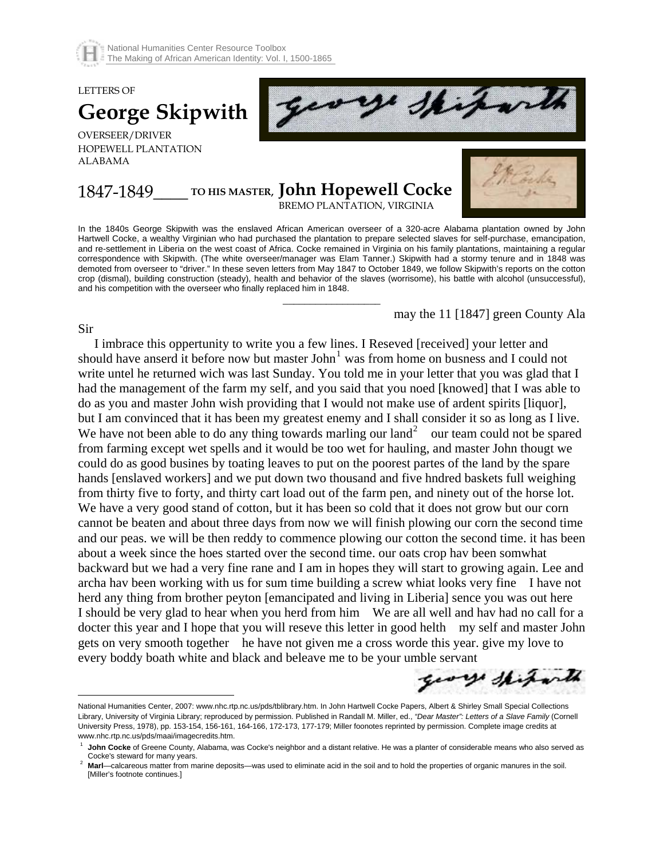

LETTERS OF

## **George Skipwith**

OVERSEER/DRIVER HOPEWELL PLANTATION ALABAMA[\\*](#page-0-0)



1847-1849\_\_\_\_ **TO HIS MASTER, John Hopewell Cocke** BREMO PLANTATION, VIRGINIA



In the 1840s George Skipwith was the enslaved African American overseer of a 320-acre Alabama plantation owned by John Hartwell Cocke, a wealthy Virginian who had purchased the plantation to prepare selected slaves for self-purchase, emancipation, and re-settlement in Liberia on the west coast of Africa. Cocke remained in Virginia on his family plantations, maintaining a regular correspondence with Skipwith. (The white overseer/manager was Elam Tanner.) Skipwith had a stormy tenure and in 1848 was demoted from overseer to "driver." In these seven letters from May 1847 to October 1849, we follow Skipwith's reports on the cotton crop (dismal), building construction (steady), health and behavior of the slaves (worrisome), his battle with alcohol (unsuccessful), and his competition with the overseer who finally replaced him in 1848.

\_\_\_\_\_\_\_\_\_\_\_\_\_\_\_\_\_\_

may the 11 [1847] green County Ala

Sir

<span id="page-0-0"></span> $\overline{a}$ 

 I imbrace this oppertunity to write you a few lines. I Reseved [received] your letter and should have anserd it before now but master John<sup>[1](#page-0-1)</sup> was from home on busness and I could not write untel he returned wich was last Sunday. You told me in your letter that you was glad that I had the management of the farm my self, and you said that you noed [knowed] that I was able to do as you and master John wish providing that I would not make use of ardent spirits [liquor], but I am convinced that it has been my greatest enemy and I shall consider it so as long as I live. We have not been able to do any thing towards marling our land<sup>[2](#page-0-2)</sup> our team could not be spared from farming except wet spells and it would be too wet for hauling, and master John thougt we could do as good busines by toating leaves to put on the poorest partes of the land by the spare hands [enslaved workers] and we put down two thousand and five hndred baskets full weighing from thirty five to forty, and thirty cart load out of the farm pen, and ninety out of the horse lot. We have a very good stand of cotton, but it has been so cold that it does not grow but our corn cannot be beaten and about three days from now we will finish plowing our corn the second time and our peas. we will be then reddy to commence plowing our cotton the second time. it has been about a week since the hoes started over the second time. our oats crop hav been somwhat backward but we had a very fine rane and I am in hopes they will start to growing again. Lee and archa hav been working with us for sum time building a screw whiat looks very fine I have not herd any thing from brother peyton [emancipated and living in Liberia] sence you was out here I should be very glad to hear when you herd from him We are all well and hav had no call for a docter this year and I hope that you will reseve this letter in good helth my self and master John gets on very smooth together he have not given me a cross worde this year. give my love to every boddy boath white and black and beleave me to be your umble servant



National Humanities Center, 2007: www.nhc.rtp.nc.us/pds/tblibrary.htm. In John Hartwell Cocke Papers, Albert & Shirley Small Special Collections Library, University of Virginia Library; reproduced by permission. Published in Randall M. Miller, ed., *"Dear Master": Letters of a Slave Family* (Cornell University Press, 1978), pp. 153-154, 156-161, 164-166, 172-173, 177-179; Miller foonotes reprinted by permission. Complete image credits at www.nhc.rtp.nc.us/pds/maai/imagecredits.htm.

<span id="page-0-1"></span><sup>1</sup> **John Cocke** of Greene County, Alabama, was Cocke's neighbor and a distant relative. He was a planter of considerable means who also served as Cocke's steward for many years.

<span id="page-0-2"></span><sup>&</sup>lt;sup>2</sup> Marl—calcareous matter from marine deposits—was used to eliminate acid in the soil and to hold the properties of organic manures in the soil. [Miller's footnote continues.]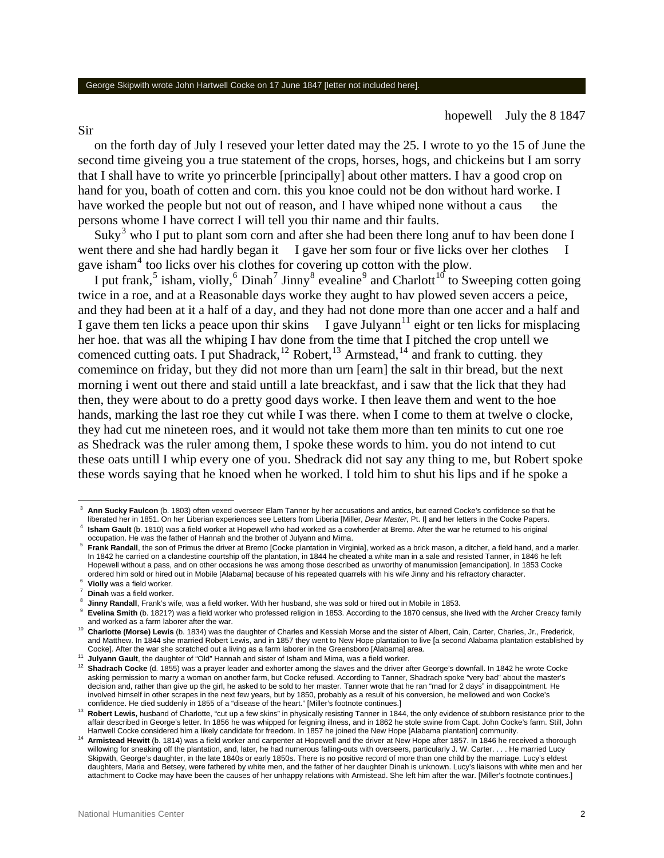hopewell July the 8 1847

 on the forth day of July I reseved your letter dated may the 25. I wrote to yo the 15 of June the second time giveing you a true statement of the crops, horses, hogs, and chickeins but I am sorry that I shall have to write yo princerble [principally] about other matters. I hav a good crop on hand for you, boath of cotten and corn. this you knoe could not be don without hard worke. I have worked the people but not out of reason, and I have whiped none without a caus the persons whome I have correct I will tell you thir name and thir faults.

Suky<sup>[3](#page-1-0)</sup> who I put to plant som corn and after she had been there long anuf to hav been done I went there and she had hardly began it I gave her som four or five licks over her clothes I gave isham<sup>[4](#page-1-1)</sup> too licks over his clothes for covering up cotton with the plow.

I put frank,<sup>[5](#page-1-2)</sup> isham, violly,<sup>[6](#page-1-3)</sup> Dinah<sup>[7](#page-1-4)</sup> Jinny<sup>[8](#page-1-5)</sup> evealine<sup>[9](#page-1-6)</sup> and Charlott<sup>[10](#page-1-7)</sup> to Sweeping cotten going twice in a roe, and at a Reasonable days worke they aught to hav plowed seven accers a peice, and they had been at it a half of a day, and they had not done more than one accer and a half and I gave them ten licks a peace upon thir skins I gave Julyann<sup>[11](#page-1-8)</sup> eight or ten licks for misplacing her hoe. that was all the whiping I hav done from the time that I pitched the crop untell we comenced cutting oats. I put Shadrack,<sup>[12](#page-1-9)</sup> Robert,<sup>13</sup> Armstead,<sup>[14](#page-1-11)</sup> and frank to cutting. they comemince on friday, but they did not more than urn [earn] the salt in thir bread, but the next morning i went out there and staid untill a late breackfast, and i saw that the lick that they had then, they were about to do a pretty good days worke. I then leave them and went to the hoe hands, marking the last roe they cut while I was there. when I come to them at twelve o clocke, they had cut me nineteen roes, and it would not take them more than ten minits to cut one roe as Shedrack was the ruler among them, I spoke these words to him. you do not intend to cut these oats untill I whip every one of you. Shedrack did not say any thing to me, but Robert spoke these words saying that he knoed when he worked. I told him to shut his lips and if he spoke a

1

<span id="page-1-0"></span><sup>3</sup> **Ann Sucky Faulcon** (b. 1803) often vexed overseer Elam Tanner by her accusations and antics, but earned Cocke's confidence so that he liberated her in 1851. On her Liberian experiences see Letters from Liberia [Miller, *Dear Master,* Pt. I] and her letters in the Cocke Papers. 4

<span id="page-1-1"></span>**Isham Gault** (b. 1810) was a field worker at Hopewell who had worked as a cowherder at Bremo. After the war he returned to his original occupation. He was the father of Hannah and the brother of Julyann and Mima. 5

<span id="page-1-2"></span><sup>&</sup>lt;sup>5</sup> Frank Randall, the son of Primus the driver at Bremo [Cocke plantation in Virginia], worked as a brick mason, a ditcher, a field hand, and a marler. In 1842 he carried on a clandestine courtship off the plantation, in 1844 he cheated a white man in a sale and resisted Tanner, in 1846 he left Hopewell without a pass, and on other occasions he was among those described as unworthy of manumission [emancipation]. In 1853 Cocke ordered him sold or hired out in Mobile [Alabama] because of his repeated quarrels with his wife Jinny and his refractory character. 6

<span id="page-1-3"></span>**Violly** was a field worker.

<span id="page-1-4"></span>**Dinah** was a field worker

**Jinny Randall**, Frank's wife, was a field worker. With her husband, she was sold or hired out in Mobile in 1853. 9

<span id="page-1-5"></span>**Evelina Smith** (b. 1821?) was a field worker who professed religion in 1853. According to the 1870 census, she lived with the Archer Creacy family

<span id="page-1-7"></span><span id="page-1-6"></span>and worked as a farm laborer after the war. 10 **Charlotte (Morse) Lewis** (b. 1834) was the daughter of Charles and Kessiah Morse and the sister of Albert, Cain, Carter, Charles, Jr., Frederick, and Matthew. In 1844 she married Robert Lewis, and in 1857 they went to New Hope plantation to live [a second Alabama plantation established by Cocke]. After the war she scratched out a living as a farm laborer in the Gree

<span id="page-1-9"></span><span id="page-1-8"></span><sup>&</sup>lt;sup>11</sup> Julyann Gault, the daughter of "Old" Hannah and sister of Isham and Mima, was a field worker.<br><sup>12</sup> Shadrach Cocke (d. 1855) was a prayer leader and exhorter among the slaves and the driver after George's downfall. In asking permission to marry a woman on another farm, but Cocke refused. According to Tanner, Shadrach spoke "very bad" about the master's decision and, rather than give up the girl, he asked to be sold to her master. Tanner wrote that he ran "mad for 2 days" in disappointment. He involved himself in other scrapes in the next few years, but by 1850, probably as a result of his conversion, he mellowed and won Cocke's confidence. He died suddenly in 1855 of a "disease of the heart." [Miller's footnote

<span id="page-1-10"></span><sup>&</sup>lt;sup>13</sup> Robert Lewis, husband of Charlotte, "cut up a few skins" in physically resisting Tanner in 1844, the only evidence of stubborn resistance prior to the affair described in George's letter. In 1856 he was whipped for feigning illness, and in 1862 he stole swine from Capt. John Cocke's farm. Still, John

<span id="page-1-11"></span>Hartwell Cocke considered him a likely candidate for freedom. In 1857 he joined the New Hope [Alabama plantation] community.<br><sup>14</sup> Armistead Hewitt (b. 1814) was a field worker and carpenter at Hopewell and the driver at Ne willowing for sneaking off the plantation, and, later, he had numerous falling-outs with overseers, particularly J. W. Carter. . . . He married Lucy Skipwith, George's daughter, in the late 1840s or early 1850s. There is no positive record of more than one child by the marriage. Lucy's eldest daughters, Maria and Betsey, were fathered by white men, and the father of her daughter Dinah is unknown. Lucy's liaisons with white men and her attachment to Cocke may have been the causes of her unhappy relations with Armistead. She left him after the war. [Miller's footnote continues.]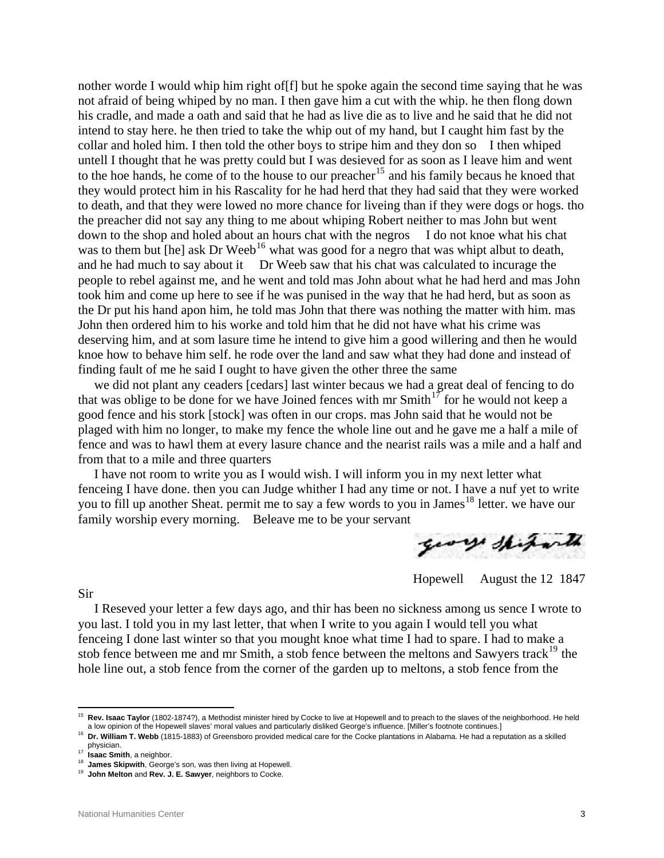nother worde I would whip him right of[f] but he spoke again the second time saying that he was not afraid of being whiped by no man. I then gave him a cut with the whip. he then flong down his cradle, and made a oath and said that he had as live die as to live and he said that he did not intend to stay here. he then tried to take the whip out of my hand, but I caught him fast by the collar and holed him. I then told the other boys to stripe him and they don so I then whiped untell I thought that he was pretty could but I was desieved for as soon as I leave him and went to the hoe hands, he come of to the house to our preacher<sup>[15](#page-2-0)</sup> and his family becaus he knoed that they would protect him in his Rascality for he had herd that they had said that they were worked to death, and that they were lowed no more chance for liveing than if they were dogs or hogs. tho the preacher did not say any thing to me about whiping Robert neither to mas John but went down to the shop and holed about an hours chat with the negros I do not knoe what his chat was to them but [he] ask Dr Weeb<sup>[16](#page-2-1)</sup> what was good for a negro that was whipt albut to death, and he had much to say about it Dr Weeb saw that his chat was calculated to incurage the people to rebel against me, and he went and told mas John about what he had herd and mas Joh n took him and come up here to see if he was punised in the way that he had herd, but as soon as the Dr put his hand apon him, he told mas John that there was nothing the matter with him. mas John then ordered him to his worke and told him that he did not have what his crime was deserving him, and at som lasure time he intend to give him a good willering and then he would knoe how to behave him self. he rode over the land and saw what they had done and instead of finding fault of me he said I ought to have given the other thre e the same

 we did not plant any ceaders [cedars] last winter becaus we had a great deal of fencing to do that was oblige to be done for we have Joined fences with mr Smith<sup>[17](#page-2-2)</sup> for he would not keep a good fence and his stork [stock] was often in our crops. mas John said that he would not be plaged with him no longer, to make my fence the whole line out and he gave me a half a mile of fence and was to hawl them at every lasure chance and the nearist rails was a mile and a half and from that to a mile and three quarters

 I have not room to write you as I would wish. I will inform you in my next letter what fenceing I have done. then you can Judge whither I had any time or not. I have a nuf yet to write you to fill up another Sheat. permit me to say a few words to you in James<sup>[18](#page-2-3)</sup> letter. we have our family worship every morning. Beleave me to be your servant

george skiparth

Hopewell August the 12 1847

Sir

 $\overline{a}$ 

 I Reseved your letter a few days ago, and thir has been no sickness among us sence I wrote to you last. I told you in my last letter, that when I write to you again I would tell you what fenceing I done last winter so that you mought knoe what time I had to spare. I had to make a stob fence between me and mr Smith, a stob fence between the meltons and Sawyers track<sup>[19](#page-3-0)</sup> the hole line out, a stob fence from the corner of the garden up to meltons, a stob fence from the

Rev. Isaac Taylor (1802-1874?), a Methodist minister hired by Cocke to live at Hopewell and to preach to the slaves of the neighborhood. He held a low opinion of the Hopewell slaves' moral values and particularly disliked George's influence. [Miller's footnote continues.]

<span id="page-2-0"></span>Dr. William T. Webb (1815-1883) of Greensboro provided medical care for the Cocke plantations in Alabama. He had a reputation as a skilled physician.

<span id="page-2-1"></span>physician. 17 **Isaac Smith**, a neighbor. 18 **James Skipwith**, George's son, was then living at Hopewell. 19 **John Melton** and **Rev. J. E. Sawyer**, neighbors to Cocke.

<span id="page-2-3"></span><span id="page-2-2"></span>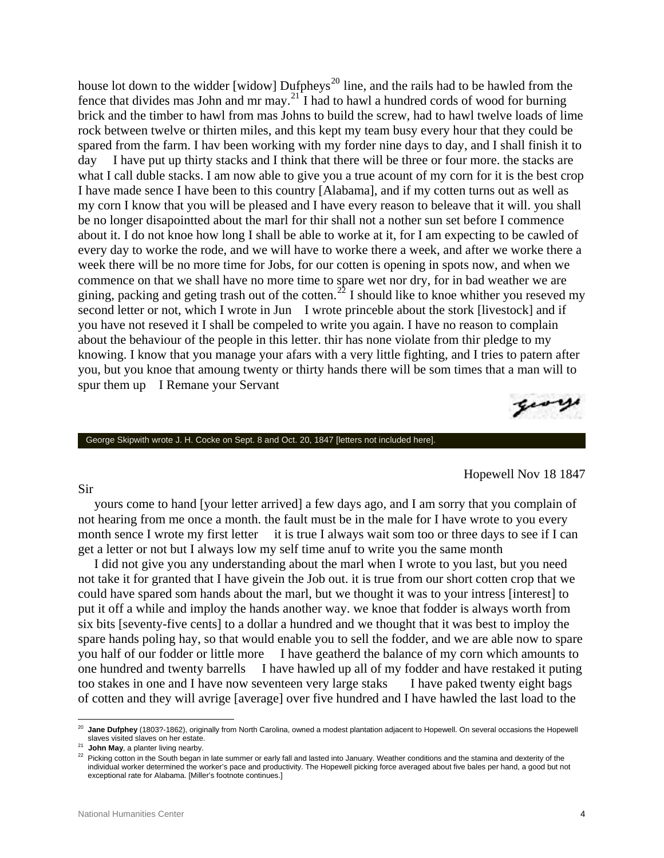house lot down to the widder [widow] Dufpheys<sup>[20](#page-3-1)</sup> line, and the rails had to be hawled from the fence that divides mas John and mr may.<sup>[21](#page-3-2)</sup> I had to hawl a hundred cords of wood for burning brick and the timber to hawl from mas Johns to build the screw, had to hawl twelve loads of lime rock between twelve or thirten miles, and this kept my team busy every hour that they could be spared from the farm. I hav been working with my forder nine days to day, and I shall finish it to day I have put up thirty stacks and I think that there will be three or four more. the stacks are what I call duble stacks. I am now able to give you a true acount of my corn for it is the best crop I have made sence I have been to this country [Alabama], and if my cotten turns out as well as my corn I know that you will be pleased and I have every reason to beleave that it will. you shall be no longer disapointted about the marl for thir shall not a nother sun set before I commence about it. I do not knoe how long I shall be able to worke at it, for I am expecting to be cawled of every day to worke the rode, and we will have to worke there a week, and after we worke there a week there will be no more time for Jobs, for our cotten is opening in spots now, and when we commence on that we shall have no more time to spare wet nor dry, for in bad weather we are gining, packing and geting trash out of the cotten.<sup>[22](#page-3-3)</sup> I should like to knoe whither you reseved my second letter or not, which I wrote in Jun I wrote princeble about the stork [livestock] and if you have not reseved it I shall be compeled to write you again. I have no reason to complain about the behaviour of the people in this letter. thir has none violate from thir pledge to my knowing. I know that you manage your afars with a very little fighting, and I tries to patern after you, but you knoe that amoung twenty or thirty hands there will be som times that a man will to spur them up I Remane your Servant

## george

## George Skipwith wrote J. H. Cocke on Sept. 8 and Oct. 20, 1847 [letters not included here].

## Hopewell Nov 18 1847

 yours come to hand [your letter arrived] a few days ago, and I am sorry that you complain of not hearing from me once a month. the fault must be in the male for I have wrote to you every month sence I wrote my first letter it is true I always wait som too or three days to see if I can get a letter or not but I always low my self time anuf to write you the same month

 I did not give you any understanding about the marl when I wrote to you last, but you need not take it for granted that I have givein the Job out. it is true from our short cotten crop that we could have spared som hands about the marl, but we thought it was to your intress [interest] to put it off a while and imploy the hands another way. we knoe that fodder is always worth from six bits [seventy-five cents] to a dollar a hundred and we thought that it was best to imploy the spare hands poling hay, so that would enable you to sell the fodder, and we are able now to spare you half of our fodder or little more I have geatherd the balance of my corn which amounts to one hundred and twenty barrells I have hawled up all of my fodder and have restaked it puting too stakes in one and I have now seventeen very large staks I have paked twenty eight bags of cotten and they will avrige [average] over five hundred and I have hawled the last load to the

Sir

 $\overline{a}$ 

<span id="page-3-1"></span><span id="page-3-0"></span><sup>20</sup> **Jane Dufphey** (1803?-1862), originally from North Carolina, owned a modest plantation adjacent to Hopewell. On several occasions the Hopewell

<span id="page-3-3"></span><span id="page-3-2"></span><sup>&</sup>lt;sup>21</sup> John May, a planter living nearby.<br><sup>22</sup> Picking cotton in the South began in late summer or early fall and lasted into January. Weather conditions and the stamina and dexterity of the individual worker determined the worker's pace and productivity. The Hopewell picking force averaged about five bales per hand, a good but not exceptional rate for Alabama. [Miller's footnote continues.]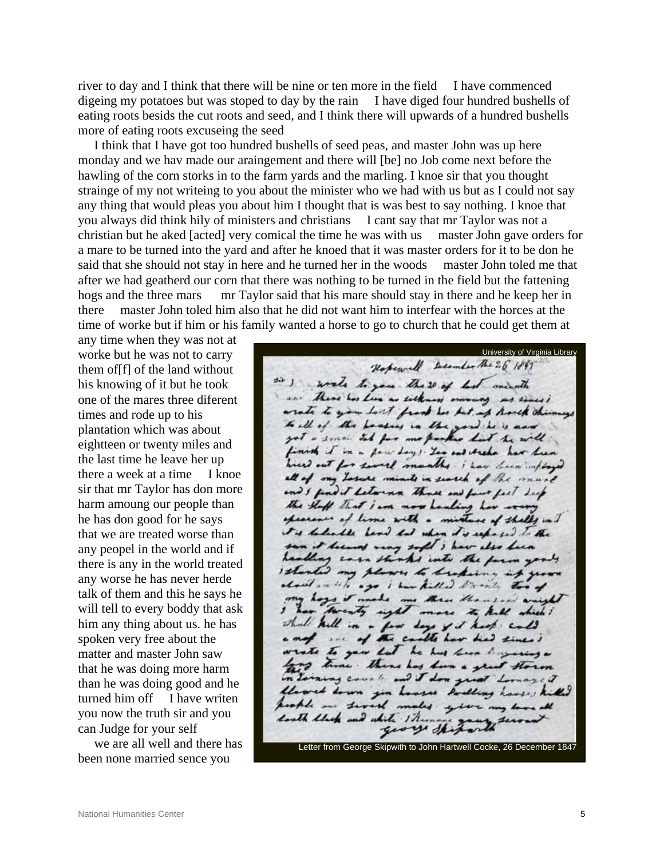river to day and I think that there will be nine or ten more in the field I have commenced digeing my potatoes but was stoped to day by the rain I have diged four hundred bushells of eating roots besids the cut roots and seed, and I think there will upwards of a hundred bushells more of eating roots excuseing the seed

 I think that I have got too hundred bushells of seed peas, and master John was up here monday and we hav made our araingement and there will [be] no Job come next before the hawling of the corn storks in to the farm yards and the marling. I knoe sir that you thought strainge of my not writeing to you about the minister who we had with us but as I could not say any thing that would pleas you about him I thought that is was best to say nothing. I knoe that you always did think hily of ministers and christians I cant say that mr Taylor was not a christian but he aked [acted] very comical the time he was with us master John gave orders for a mare to be turned into the yard and after he knoed that it was master orders for it to be don he said that she should not stay in here and he turned her in the woods master John toled me that after we had geatherd our corn that there was nothing to be turned in the field but the fattening hogs and the three mars mr Taylor said that his mare should stay in there and he keep her in there master John toled him also that he did not want him to interfear with the horces at the time of worke but if him or his family wanted a horse to go to church that he could get them at

any time when they was not at worke but he was not to carry them of[f] of the land without his knowing of it but he took one of the mares three diferent times and rode up to his plantation which was about eightteen or twenty miles and the last time he leave her up there a week at a time I knoe sir that mr Taylor has don more harm amoung our people than he has don good for he says that we are treated worse than any peopel in the world and if there is any in the world treated any worse he has never herde talk of them and this he says he will tell to every boddy that ask him any thing about us. he has spoken very free about the matter and master John saw that he was doing more harm than he was doing good and he turned him off I have writen you now the truth sir and you can Judge for your self

been none married sence you

University of Virginia Library Robert December the 26 1847 as ) wrote to you the 20 of last minutes an There has Live as sickness encourage and since i wrate to you lost front has but up knock this to all of the handers in the good he is now got a small tal for me parker hat he will finish it in a face day ! . You and Archa har hear hierd out for several munths . I have been implayed all of my Losure minute in search of the must and I find it between there and four feet hip the stuff that I am now handing how weren executive of lime with a mixture of shelly in ? it is behall hard had when it is exposed to the sen it became very suff ; have also been lling case thanks into the farm yours should my plances to broken , inf grown about switch ago I have killed trails too of y hogy it made me three thousand a wenty ught more to kill shick ! kill in a few days of it hast call coalts have died since i  $4A$ ine to your but he has been tryering a rnto there has her a great storm n Zeining covel and it don great Lomage ? Clowed down you houses bodling houses h proble and several males yes looth they and while I'lles gives the We are all well and there has Letter from George Skipwith to John Hartwell Cocke, 26 December 1847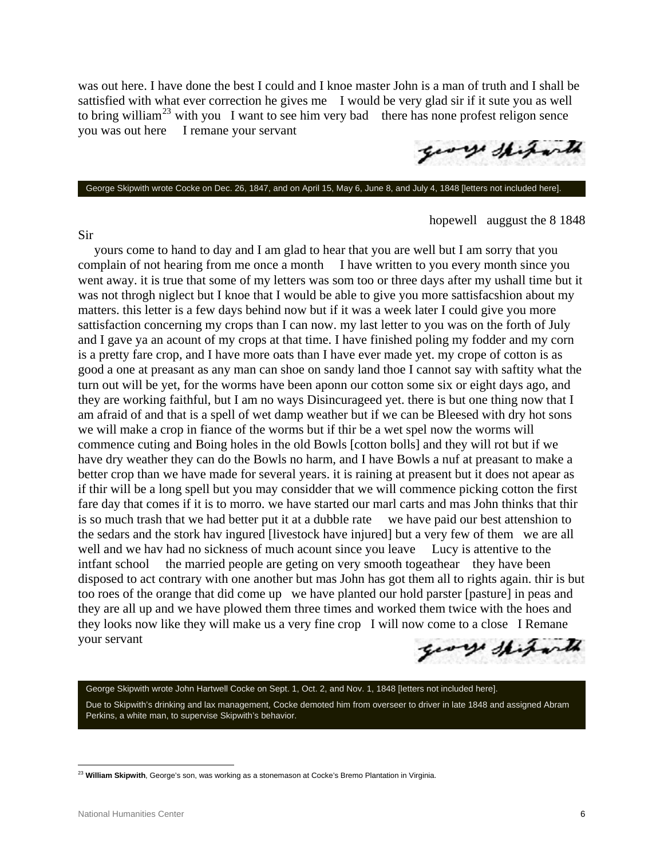was out here. I have done the best I could and I knoe master John is a man of truth and I shall be sattisfied with what ever correction he gives me I would be very glad sir if it sute you as well to bring william<sup>[23](#page-5-0)</sup> with you I want to see him very bad there has none profest religon sence you was out here I remane your servant



George Skipwith wrote Cocke on Dec. 26, 1847, and on April 15, May 6, June 8, and July 4, 1848 [letters not included here].

hopewell auggust the 8 1848

Sir

 yours come to hand to day and I am glad to hear that you are well but I am sorry that you complain of not hearing from me once a month I have written to you every month since you went away. it is true that some of my letters was som too or three days after my ushall time but it was not throgh niglect but I knoe that I would be able to give you more sattisfacshion about my matters. this letter is a few days behind now but if it was a week later I could give you more sattisfaction concerning my crops than I can now. my last letter to you was on the forth of July and I gave ya an acount of my crops at that time. I have finished poling my fodder and my corn is a pretty fare crop, and I have more oats than I have ever made yet. my crope of cotton is as good a one at preasant as any man can shoe on sandy land thoe I cannot say with saftity what the turn out will be yet, for the worms have been aponn our cotton some six or eight days ago, and they are working faithful, but I am no ways Disincurageed yet. there is but one thing now that I am afraid of and that is a spell of wet damp weather but if we can be Bleesed with dry hot sons we will make a crop in fiance of the worms but if thir be a wet spel now the worms will commence cuting and Boing holes in the old Bowls [cotton bolls] and they will rot but if we have dry weather they can do the Bowls no harm, and I have Bowls a nuf at preasant to make a better crop than we have made for several years. it is raining at preasent but it does not apear as if thir will be a long spell but you may considder that we will commence picking cotton the first fare day that comes if it is to morro. we have started our marl carts and mas John thinks that thir is so much trash that we had better put it at a dubble rate we have paid our best attenshion to the sedars and the stork hav ingured [livestock have injured] but a very few of them we are all well and we hav had no sickness of much acount since you leave Lucy is attentive to the intfant school the married people are geting on very smooth togeathear they have been disposed to act contrary with one another but mas John has got them all to rights again. thir is but too roes of the orange that did come up we have planted our hold parster [pasture] in peas and they are all up and we have plowed them three times and worked them twice with the hoes and they looks now like they will make us a very fine crop I will now come to a close I Remane your servant

george skiparth

George Skipwith wrote John Hartwell Cocke on Sept. 1, Oct. 2, and Nov. 1, 1848 [letters not included here]. Due to Skipwith's drinking and lax management, Cocke demoted him from overseer to driver in late 1848 and assigned Abram Perkins, a white man, to supervise Skipwith's behavior.

 $\overline{a}$ 

<span id="page-5-0"></span><sup>23</sup> **William Skipwith**, George's son, was working as a stonemason at Cocke's Bremo Plantation in Virginia.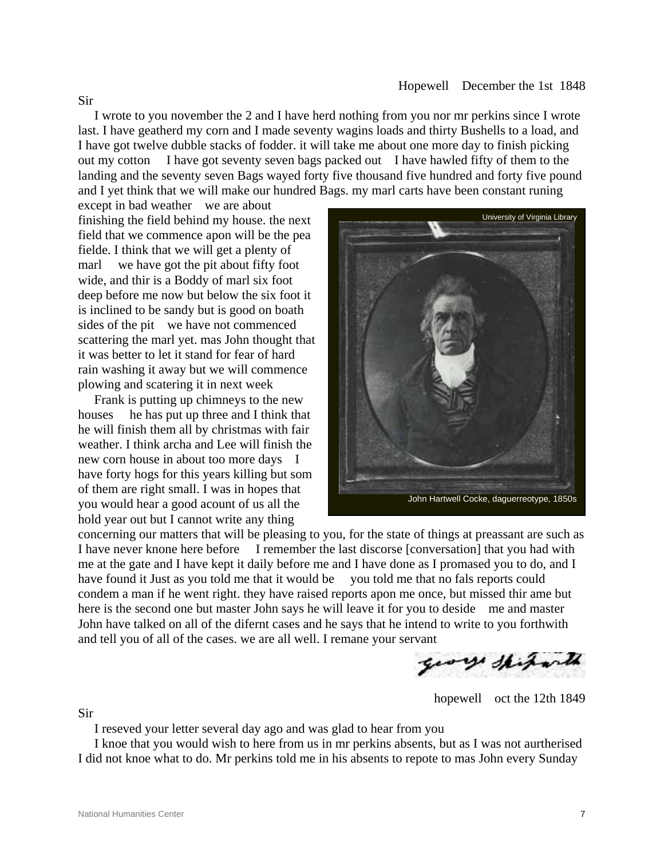I wrote to you november the 2 and I have herd nothing from you nor mr perkins since I wrote last. I have geatherd my corn and I made seventy wagins loads and thirty Bushells to a load, and I have got twelve dubble stacks of fodder. it will take me about one more day to finish picking out my cotton I have got seventy seven bags packed out I have hawled fifty of them to the landing and the seventy seven Bags wayed forty five thousand five hundred and forty five pound and I yet think that we will make our hundred Bags. my marl carts have been constant runing

except in bad weather we are about finishing the field behind my house. the next field that we commence apon will be the pea fielde. I think that we will get a plenty of marl we have got the pit about fifty foot wide, and thir is a Boddy of marl six foot deep before me now but below the six foot it is inclined to be sandy but is good on boath sides of the pit we have not commenced scattering the marl yet. mas John thought that it was better to let it stand for fear of hard rain washing it away but we will commence plowing and scatering it in next week

 Frank is putting up chimneys to the new houses he has put up three and I think that he will finish them all by christmas with fair weather. I think archa and Lee will finish the new corn house in about too more days I have forty hogs for this years killing but som of them are right small. I was in hopes that you would hear a good acount of us all the hold year out but I cannot write any thing



concerning our matters that will be pleasing to you, for the state of things at preassant are such as I have never knone here before I remember the last discorse [conversation] that you had with me at the gate and I have kept it daily before me and I have done as I promased you to do, and I have found it Just as you told me that it would be you told me that no fals reports could condem a man if he went right. they have raised reports apon me once, but missed thir ame but here is the second one but master John says he will leave it for you to deside me and master John have talked on all of the difernt cases and he says that he intend to write to you forthwith and tell you of all of the cases. we are all well. I remane your servant



hopewell oct the 12th 1849

Sir

Sir

I reseved your letter several day ago and was glad to hear from you

 I knoe that you would wish to here from us in mr perkins absents, but as I was not aurtherised I did not knoe what to do. Mr perkins told me in his absents to repote to mas John every Sunday